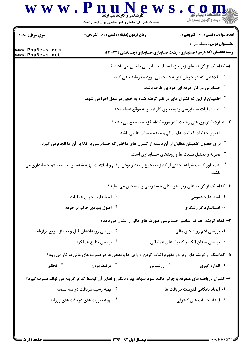

- ا– کدامیک از گزینه های زیر جزء اهداف حسابرسی داخلی می باشند؟
	- ۱. اطلاعاتی که در جریان کار به دست می آورد محرمانه تلقی کند.
		- <sup>7 .</sup> حسابرس در کار حرفه ای خود بی طرف باشد.
- <sup>۳.</sup> اطمینان از این که کنترل های در نظر گرفته شده به خوبی در عمل اجرا می شود.
	- ۰۴ باید عملیات حسابرسی را به نحوی کار آمد و به موقع انجام دهد.
	- ۲- عبارت ″ آزمون های رعایت ″ در مورد کدام گزینه صحیح می باشد؟
		- ۰۱ آزمون جزئیات فعالیت های مالی و مانده حساب ها می باشد.
- <sup>۲</sup>· برای حصول اطمینان معقول از آن دسته از کنترل های داخلی که حسابرسی با اتکا بر آن ها انجام می گیرد.
	- ۰۳ تجزیه و تحلیل نسبت ها و روندهای حسابداری است.
- <sup>۴ .</sup> به منظور کسب شواهد حاکی از کامل، صحیح و معتبر بودن ارقام و اطلاعات تهیه شده توسط سیستم حسابداری می ىاشد.

**۳**- کدامیک از گزینه های زیر نحوه کلی حسابرسی را مشخص می نماید؟

- ۰۱ استاندارد عمومی **1. استاندارد اجرای عملیات** ۰<sup>۴</sup> اصول بنیادی حاکم بر حرفه ۰<sup>۳</sup> استاندارد گزارشگری
	- ۴– کدام گزینه، اهداف اساسی حسابرسی صورت های مالی را نشان می دهد؟
- <sup>۲</sup>۰ بررسی رویدادهای قبل و بعد از تاریخ ترازنامه ۰۱ بررسی اهم رویه های مالی
	- ۰۴ بررسی نتایج عملکرد ۰<sup>۳</sup> بررسی میزان اتکا بر کنترل های عملیاتی

۵– کدامیک از گزینه های زیر در مفهوم اثبات کردن دارایی ها و بدهی ها در صورت های مالی به کار می رود؟

- ۰۴ تحقق <sup>۲.</sup> ارزشیابی ۰۱ اندازه گیری مرتبط بودن  $\cdot$ ۳ .
- ۶- کنترل دریافت های متفرقه و جزئی مانند سود سهام، بهره بانکی و نظایر آن توسط کدام گزینه می تواند صورت گیرد؟
	- <sup>7 .</sup> تهیه رسید دریافت در سه نسخه ۰۱ ایجاد بایگانی فهرست دریافت ها
	- ۰<sup>۴</sup> تهیه صورت های دریافت های روزانه ۰<sup>۳</sup> ایجاد حساب های کنترلی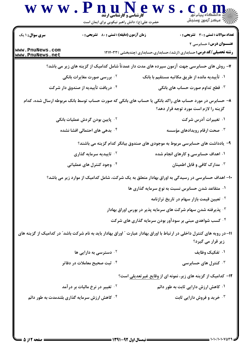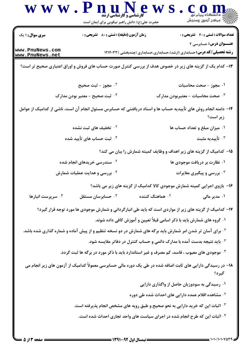|                                    | حضرت علی(ع): دانش راهبر نیکویی برای ایمان است                                                                         |                                                                                        | سننكز آزمون وسنجش                                                                                                |
|------------------------------------|-----------------------------------------------------------------------------------------------------------------------|----------------------------------------------------------------------------------------|------------------------------------------------------------------------------------------------------------------|
| سری سوال : ۱ یک                    | زمان آزمون (دقیقه) : تستی : 80 گشریحی : 0                                                                             |                                                                                        | <b>تعداد سوالات : تستی : 30 ٪ تشریحی : 0</b>                                                                     |
| www.PnuNews.com<br>www.PnuNews.net |                                                                                                                       |                                                                                        | <b>عنـــوان درس:</b> حسابرسی ۲<br><b>رشته تحصیلی/کد درس:</b> حسابداری (ارشد)،حسابداری،حسابداری (چندبخشی )۱۲۱۴۰۳۳ |
|                                    | ۱۳- کدام یک از گزینه های زیر در خصوص هدف از بررسی کنترل صورت حساب های فروش و اوراق اعتباری صحیح تر است؟               |                                                                                        |                                                                                                                  |
|                                    | ۰ <sup>۲</sup> مجوز - ثبت صحیح                                                                                        |                                                                                        | ۰۱ مجوز - صحت محاسبات                                                                                            |
|                                    | ۰۴ ثبت صحیح – معتبر بودن مدارک                                                                                        |                                                                                        | ۰۳ صحت محاسبات – معتبربودن مدارک                                                                                 |
|                                    | ۱۴– دامنه انجام روش های تأییدیه حساب ها و اسناد دریافتنی که حسابرس مسئول انجام آن است، ناشی از کدامیک از عوامل        |                                                                                        | زیر است؟                                                                                                         |
|                                    | ۰ <sup>۲</sup> تخفیف های ثبت نشده                                                                                     |                                                                                        | ۰۱ میزان مبلغ و تعداد حساب ها                                                                                    |
|                                    | <sup>۴.</sup> ثبت حساب های تأیید شده                                                                                  |                                                                                        | ا تأييديه مثبت $\cdot$                                                                                           |
|                                    |                                                                                                                       |                                                                                        | ۱۵– کدامیک از گزینه های زیر اهداف و وظایف کمیته شمارش را بیان می کند؟                                            |
|                                    | <b>گ سندرسی خریدهای انجام شده</b>                                                                                     |                                                                                        | ۰۱ نظارت بر دریافت موجودی ها                                                                                     |
| ۰۴ بررسی و هدایت عملیات شمارش      |                                                                                                                       |                                                                                        | ۰۳ بررسی و پیگیری مغایرات                                                                                        |
|                                    |                                                                                                                       |                                                                                        | ۱۶- بازوی اجرایی کمیته شمارش موجودی کالا کدامیک از گزینه های زیر می باشد؟                                        |
| ۰۴ سرپرست انبارها <b>۴</b>         | حسابرسان مستقل $\cdot^{\mathtt{w}}$                                                                                   | ۰ <sup>۲</sup> هماهنگ کننده                                                            | ۰۱ مدیر مالی                                                                                                     |
|                                    | ۱۷– کدامیک از گزینه های زیر از مواردی است که باید طی انبارگردانی و شمارش موجودی ها مورد توجه قرار گیرد؟               |                                                                                        |                                                                                                                  |
|                                    |                                                                                                                       | ۰۱ گروه های شمارش باید با ذکر اسامی قبلاً تعیین و آموزش کافی داده شوند.                |                                                                                                                  |
|                                    | <sup>۲</sup> ۰ برای آسان تر شدن امر شمارش باید برگه های شمارش در دو نسخه تنظیم و از پیش آماده و شماره گذاری شده باشد. |                                                                                        |                                                                                                                  |
|                                    |                                                                                                                       | ۰ <sup>۳ .</sup> باید نتیجه بدست آمده با مدارک دائمی و حساب کنترل در دفاتر مقایسه شود. |                                                                                                                  |
|                                    | ۰۴ موجودی های معیوب ، فاسد، کم مصرف و غیر استاندارد باید با ذکر مورد در برگه ها ثبت گردد.                             |                                                                                        |                                                                                                                  |
|                                    | ۱۸– در رسیدگی دارایی های ثابت اضافه شده در طی یک دوره مالی حسابرسی معمولاً کدامیک از آزمون های زیر انجام می           |                                                                                        | گيرد؟                                                                                                            |
|                                    |                                                                                                                       |                                                                                        | ۰۱ رسیدگی به سودوزیان حاصل از واگذاری دارایی                                                                     |
|                                    |                                                                                                                       | ۰۲ مشاهده اقلام عمده دارایی های احداث شده طی دوره                                      |                                                                                                                  |
|                                    | ۰۳ اثبات این که خرید دارایی به نحو صحیح و طبق رویه های مشخص انجام پذیرفته است.                                        |                                                                                        |                                                                                                                  |
|                                    | ۰۴ اثبات این که طرح انجام شده در اجرای سیاست های واحد تجاری احداث شده است.                                            |                                                                                        |                                                                                                                  |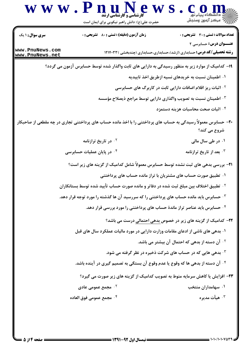